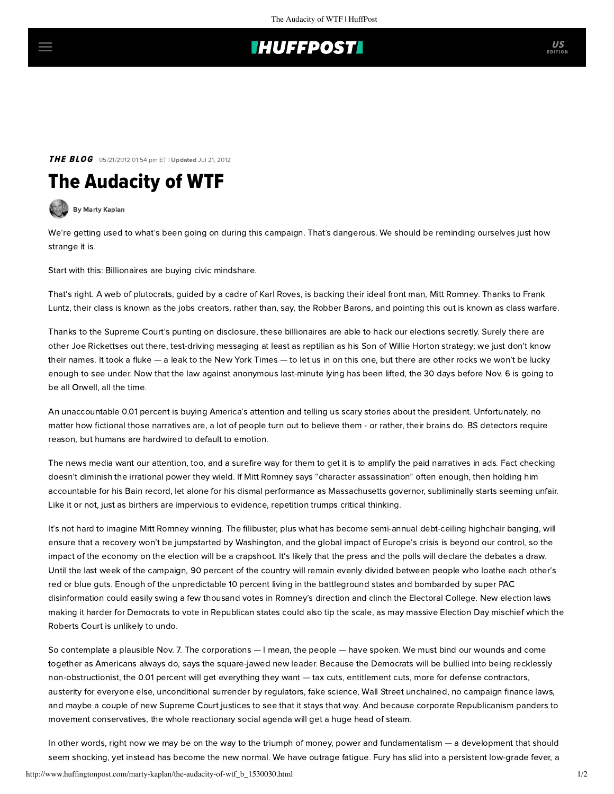## **IHUFFPOSTI**

**THE BLOG** 05/21/2012 01:54 pm ET | Updated Jul 21, 2012

## The Audacity of WTF

[By Marty Kaplan](http://www.huffingtonpost.com/author/marty-kaplan)

We're getting used to what's been going on during this campaign. That's dangerous. We should be reminding ourselves just how strange it is.

Start with this: Billionaires are buying civic mindshare.

That's right. A web of plutocrats, guided by a cadre of Karl Roves, is backing their ideal front man, Mitt Romney. Thanks to Frank Luntz, their class is known as the jobs creators, rather than, say, the Robber Barons, and pointing this out is known as class warfare.

Thanks to the Supreme Court's punting on disclosure, these billionaires are able to hack our elections secretly. Surely there are other Joe Rickettses out there, test-driving messaging at least as reptilian as his Son of Willie Horton strategy; we just don't know their names. It took a fluke — [a leak to the New York Times](http://www.nytimes.com/2012/05/17/us/politics/gop-super-pac-weighs-hard-line-attack-on-obama.html?_r=1&ref=jeffzeleny) — to let us in on this one, but there are other rocks we won't be lucky enough to see under. Now that the law against anonymous last-minute lying has been lifted, the 30 days before Nov. 6 is going to be all Orwell, all the time.

An unaccountable 0.01 percent is buying America's attention and telling us scary stories about the president. Unfortunately, no matter how fictional those narratives are, a lot of people turn out to believe them - or rather, their brains do. BS detectors require reason, but humans are [hardwired to default to emotion.](http://www.ft.com/intl/cms/s/2/15bb6522-04ac-11e1-91d9-00144feabdc0.html)

The news media want our attention, too, and a surefire way for them to get it is to amplify the paid narratives in ads. Fact checking doesn't diminish the irrational power they wield. If Mitt Romney says "character assassination" often enough, then holding him accountable for his Bain record, let alone for his dismal performance as Massachusetts governor, subliminally starts seeming unfair. Like it or not, just as birthers are impervious to evidence, repetition trumps critical thinking.

It's not hard to imagine Mitt Romney winning. The filibuster, plus what has become semi-annual debt-ceiling highchair banging, will ensure that a recovery won't be jumpstarted by Washington, and the global impact of Europe's crisis is beyond our control, so the impact of the economy on the election will be a crapshoot. It's likely that the press and the polls will declare the debates a draw. Until the last week of the campaign, 90 percent of the country will remain evenly divided between people who loathe each other's red or blue guts. Enough of the unpredictable 10 percent living in the battleground states and bombarded by super PAC disinformation could easily swing a few thousand votes in Romney's direction and clinch the Electoral College. [New election laws](http://www.washingtonpost.com/politics/republicans-rewriting-state-election-laws-in-ways-that-could-hurt-democrat/2011/09/15/gIQApcuhVK_story.html) making it harder for Democrats to vote in Republican states could also tip the scale, as may massive Election Day mischief which the Roberts Court is unlikely to undo.

So contemplate a plausible Nov. 7. The corporations — I mean, the people — have spoken. We must bind our wounds and come together as Americans always do, says the square-jawed new leader. Because the Democrats will be bullied into being recklessly non-obstructionist, the 0.01 percent will get everything they want — tax cuts, entitlement cuts, more for defense contractors, austerity for everyone else, unconditional surrender by regulators, fake science, Wall Street unchained, no campaign finance laws, and maybe a couple of new Supreme Court justices to see that it stays that way. And because corporate Republicanism panders to movement conservatives, the whole reactionary social agenda will get a huge head of steam.

In other words, right now we may be on the way to the triumph of money, power and fundamentalism — a development that should seem shocking, yet instead has become the new normal. We have outrage fatigue. Fury has slid into a persistent low-grade fever, a